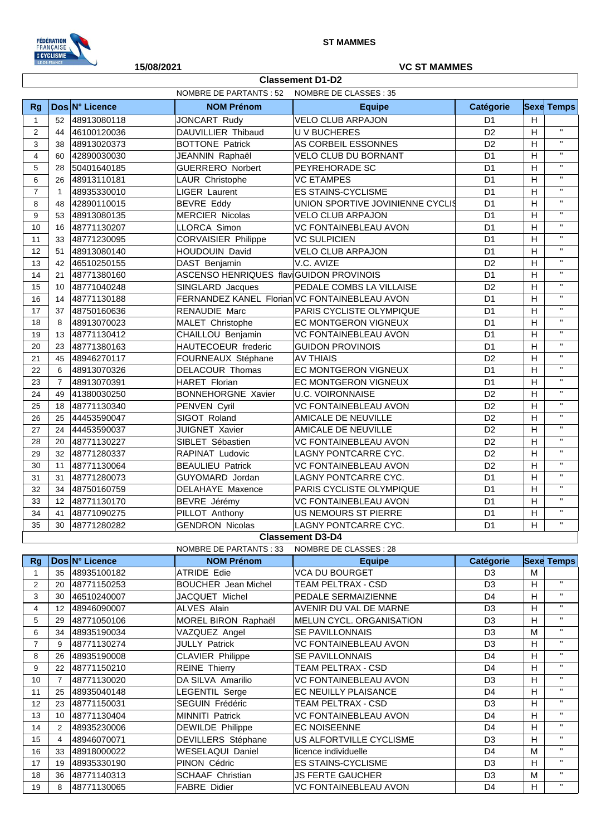

**Classement D1-D2**

## **15/08/2021 VC ST MAMMES**

|                |                |                                                      | NOMBRE DE PARTANTS : 52<br>NOMBRE DE CLASSES: 35 |                                               |                |              |                   |
|----------------|----------------|------------------------------------------------------|--------------------------------------------------|-----------------------------------------------|----------------|--------------|-------------------|
| Rg             |                | Dos N° Licence                                       | <b>NOM Prénom</b>                                | <b>Equipe</b>                                 | Catégorie      |              | <b>Sexe Temps</b> |
| $\mathbf{1}$   | 52             | 48913080118                                          | <b>JONCART Rudy</b>                              | <b>VELO CLUB ARPAJON</b>                      | D <sub>1</sub> | H            |                   |
| $\overline{2}$ | 44             | 46100120036                                          | DAUVILLIER Thibaud                               | <b>UV BUCHERES</b>                            | D <sub>2</sub> | H            | $\mathbf{H}$      |
| 3              | 38             | 48913020373                                          | <b>BOTTONE Patrick</b>                           | AS CORBEIL ESSONNES                           | D <sub>2</sub> | H            | $\mathbf{H}$      |
| $\overline{4}$ | 60             | 42890030030                                          | JEANNIN Raphaël                                  | VELO CLUB DU BORNANT                          | D <sub>1</sub> | $\mathsf{H}$ | $\mathbf{H}$      |
| 5              | 28             | 50401640185                                          | <b>GUERRERO Norbert</b>                          | PEYREHORADE SC                                | D <sub>1</sub> | Н            | $\mathbf{H}$      |
| $\,6$          | 26             | 48913110181                                          | LAUR Christophe                                  | <b>VC ETAMPES</b>                             | D <sub>1</sub> | H            | $\mathbf{H}$      |
| $\overline{7}$ | 1              | 48935330010                                          | LIGER Laurent                                    | <b>ES STAINS-CYCLISME</b>                     | D <sub>1</sub> | $\mathsf{H}$ | $\mathbf{H}$      |
| 8              | 48             | 42890110015                                          | <b>BEVRE Eddy</b>                                | UNION SPORTIVE JOVINIENNE CYCLIS              | D <sub>1</sub> | Н            | $\mathbf{H}$      |
| 9              | 53             | 48913080135                                          | <b>MERCIER Nicolas</b>                           | <b>VELO CLUB ARPAJON</b>                      | D <sub>1</sub> | H            | $\mathbf{H}$      |
| 10             | 16             | 48771130207                                          | LLORCA Simon                                     | VC FONTAINEBLEAU AVON                         | D <sub>1</sub> | H            | $\mathbf{H}$      |
| 11             | 33             | 48771230095                                          | <b>CORVAISIER Philippe</b>                       | <b>VC SULPICIEN</b>                           | D <sub>1</sub> | $\mathsf{H}$ | $\mathbf{H}$      |
| 12             | 51             | 48913080140                                          | <b>HOUDOUIN David</b>                            | <b>VELO CLUB ARPAJON</b>                      | D <sub>1</sub> | Н            | $\mathbf{H}$      |
| 13             | 42             | 46510250155                                          | DAST Benjamin                                    | V.C. AVIZE                                    | D <sub>2</sub> | H            | $\mathbf{H}$      |
| 14             | 21             | 48771380160                                          | ASCENSO HENRIQUES flav GUIDON PROVINOIS          |                                               | D <sub>1</sub> | H            | $\mathbf{H}$      |
| 15             | 10             | 48771040248                                          | SINGLARD Jacques                                 | PEDALE COMBS LA VILLAISE                      | D <sub>2</sub> | $\mathsf{H}$ | $\mathbf{H}$      |
| 16             | 14             | 48771130188                                          |                                                  | FERNANDEZ KANEL Florian VC FONTAINEBLEAU AVON | D <sub>1</sub> | H            | $\mathbf{H}$      |
| 17             | 37             | 48750160636                                          | <b>RENAUDIE Marc</b>                             | PARIS CYCLISTE OLYMPIQUE                      | D <sub>1</sub> | H            | $\mathbf{H}$      |
| 18             | 8              | 48913070023                                          | MALET Christophe                                 | EC MONTGERON VIGNEUX                          | D <sub>1</sub> | H            | $\mathbf{H}$      |
| 19             | 13             | 48771130412                                          | CHAILLOU Benjamin                                | <b>VC FONTAINEBLEAU AVON</b>                  | D <sub>1</sub> | Н            | $\mathbf{H}$      |
| 20             | 23             | 48771380163                                          | HAUTECOEUR frederic                              | <b>GUIDON PROVINOIS</b>                       | D <sub>1</sub> | H            | $\mathbf{H}$      |
| 21             | 45             | 48946270117                                          | FOURNEAUX Stéphane                               | <b>AV THIAIS</b>                              | D <sub>2</sub> | H            | $\mathbf{H}$      |
| 22             | 6              | 48913070326                                          | <b>DELACOUR Thomas</b>                           | EC MONTGERON VIGNEUX                          | D <sub>1</sub> | H            | $\mathbf{H}$      |
| 23             | $\overline{7}$ | 48913070391                                          | HARET Florian                                    | <b>EC MONTGERON VIGNEUX</b>                   | D <sub>1</sub> | Н            | $\mathbf{H}$      |
| 24             | 49             | 41380030250                                          | <b>BONNEHORGNE Xavier</b>                        | <b>U.C. VOIRONNAISE</b>                       | D <sub>2</sub> | H            | $\mathbf{H}$      |
| 25             | 18             | 48771130340                                          | PENVEN Cyril                                     | VC FONTAINEBLEAU AVON                         | D <sub>2</sub> | H            | $\mathbf{H}$      |
| 26             | 25             | 44453590047                                          | SIGOT Roland                                     | AMICALE DE NEUVILLE                           | D <sub>2</sub> | H            | $\mathbf{H}$      |
| 27             | 24             | 44453590037                                          | JUIGNET Xavier                                   | AMICALE DE NEUVILLE                           | D <sub>2</sub> | H            | $\mathbf{H}$      |
| 28             | 20             | 48771130227                                          | SIBLET Sébastien                                 | VC FONTAINEBLEAU AVON                         | D <sub>2</sub> | H            | $\mathbf{H}$      |
| 29             | 32             | 48771280337                                          | <b>RAPINAT Ludovic</b>                           | LAGNY PONTCARRE CYC.                          | D <sub>2</sub> | H            | $\mathbf{H}$      |
| 30             | 11             | 48771130064                                          | <b>BEAULIEU Patrick</b>                          | VC FONTAINEBLEAU AVON                         | D <sub>2</sub> | Н            | $\mathbf{H}$      |
| 31             | 31             | 48771280073                                          | GUYOMARD Jordan                                  | LAGNY PONTCARRE CYC.                          | D <sub>1</sub> | H            | $\mathbf{H}$      |
| 32             | 34             | 48750160759                                          | DELAHAYE Maxence                                 | PARIS CYCLISTE OLYMPIQUE                      | D <sub>1</sub> | H            | $\mathbf{H}$      |
| 33             | 12             | 48771130170                                          | BEVRE Jérémy                                     | VC FONTAINEBLEAU AVON                         | D <sub>1</sub> | H            | $\mathbf{H}$      |
| 34             | 41             | 48771090275                                          | PILLOT Anthony                                   | US NEMOURS ST PIERRE                          | D <sub>1</sub> | Н            | $\mathbf{H}$      |
| 35             | 30             | 48771280282                                          | <b>GENDRON Nicolas</b>                           | LAGNY PONTCARRE CYC.                          | D <sub>1</sub> | H            | $\mathbf{H}$      |
|                |                |                                                      |                                                  | <b>Classement D3-D4</b>                       |                |              |                   |
|                |                |                                                      | NOMBRE DE PARTANTS: 33                           | NOMBRE DE CLASSES : 28                        |                |              |                   |
| Rg             |                | Dos N° Licence<br><b>NOM Prénom</b><br><b>Equipe</b> |                                                  |                                               | Catégorie      |              | <b>Sexe Temps</b> |
| 1              | 35             | 48935100182                                          | <b>ATRIDE Edie</b>                               | VCA DU BOURGET                                | D <sub>3</sub> | м            |                   |
| 2              | 20             | 48771150253                                          | <b>BOUCHER</b> Jean Michel                       | TEAM PELTRAX - CSD                            | D <sub>3</sub> | H            | $\mathbf{H}$      |
| 3              | 30             | 46510240007                                          | JACQUET Michel                                   | PEDALE SERMAIZIENNE                           | D4             | н            | $\mathbf{H}$      |
| 4              | 12             | 48946090007                                          | ALVES Alain                                      | AVENIR DU VAL DE MARNE                        | D <sub>3</sub> | Н            | $\mathbf{H}$      |
| 5              | 29             | 48771050106                                          | MOREL BIRON Raphaël                              | <b>MELUN CYCL. ORGANISATION</b>               | D <sub>3</sub> | Н            | $\mathbf{H}$      |
| 6              | 34             | 48935190034                                          | VAZQUEZ Angel                                    | SE PAVILLONNAIS                               | D <sub>3</sub> | M            | $\mathbf{H}$      |
| $\overline{7}$ | 9              | 48771130274                                          | <b>JULLY Patrick</b>                             | VC FONTAINEBLEAU AVON                         | D <sub>3</sub> | Н            | $\mathbf{H}$      |
| 8              | 26             | 48935190008                                          | CLAVIER Philippe                                 | SE PAVILLONNAIS                               | D4             | Н            | $\mathbf{H}$      |
| 9              | 22             | 48771150210                                          | <b>REINE Thierry</b>                             | TEAM PELTRAX - CSD                            | D4             | Н            | $\mathbf{H}$      |
| 10             | 7              | 48771130020                                          | DA SILVA Amarilio                                | VC FONTAINEBLEAU AVON                         | D <sub>3</sub> | Н            | $\mathbf{H}$      |
| 11             | 25             | 48935040148                                          | LEGENTIL Serge                                   | EC NEUILLY PLAISANCE                          | D4             | Н            | $\mathbf{H}$      |
| 12             | 23             | 48771150031                                          | SEGUIN Frédéric                                  | TEAM PELTRAX - CSD                            | D <sub>3</sub> | Н            | $\mathbf{H}$      |
| 13             | 10             | 48771130404                                          | MINNITI Patrick                                  | VC FONTAINEBLEAU AVON                         | D4             | Н            | $\mathbf{H}$      |
| 14             | $\overline{2}$ | 48935230006                                          | <b>DEWILDE Philippe</b>                          | <b>EC NOISEENNE</b>                           | D4             | Н            | $\mathbf{H}$      |
| 15             | 4              | 48946070071                                          | DEVILLERS Stéphane                               | US ALFORTVILLE CYCLISME                       | D <sub>3</sub> | Н            | $\mathbf{H}$      |
| 16             | 33             | 48918000022                                          | WESELAQUI Daniel                                 | licence individuelle                          | D4             | м            | $\mathbf{H}$      |
| 17             | 19             | 48935330190                                          | PINON Cédric                                     | <b>ES STAINS-CYCLISME</b>                     | D <sub>3</sub> | Н            | $\mathbf{H}$      |
| 18             | 36             | 48771140313                                          | SCHAAF Christian                                 | <b>JS FERTE GAUCHER</b>                       | D <sub>3</sub> | M            | $\mathbf{H}$ .    |
| 19             | 8              | 48771130065                                          | <b>FABRE Didier</b>                              | VC FONTAINEBLEAU AVON                         | D <sub>4</sub> | H            | $\mathbf{H}$ .    |
|                |                |                                                      |                                                  |                                               |                |              |                   |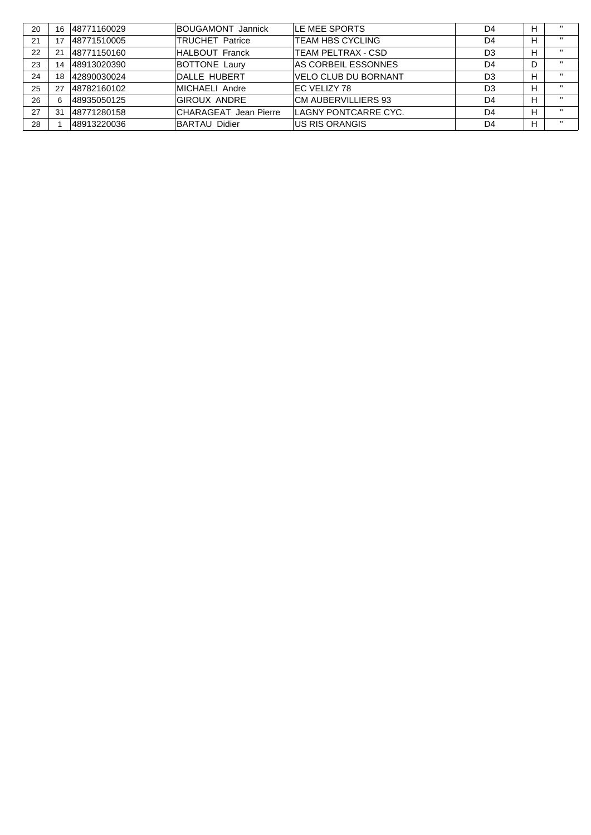| 20 | 16  | 48771160029 | BOUGAMONT Jannick      | LE MEE SPORTS           | D4 | H |                   |
|----|-----|-------------|------------------------|-------------------------|----|---|-------------------|
| 21 | 17  | 48771510005 | <b>TRUCHET Patrice</b> | <b>TEAM HBS CYCLING</b> | D4 | H | $\mathbf{u}$      |
| 22 | 21  | 48771150160 | HALBOUT Franck         | TEAM PELTRAX - CSD      | D3 | H | $\mathbf{u}$      |
| 23 | 14  | 48913020390 | <b>BOTTONE Laury</b>   | AS CORBEIL ESSONNES     | D4 | D | $^{\prime\prime}$ |
| 24 | 18  | 42890030024 | IDALLE HUBERT          | VELO CLUB DU BORNANT    | D3 | н | $\mathbf{u}$      |
| 25 | 27  | 48782160102 | MICHAELI Andre         | IEC VELIZY 78           | D3 | H | $\mathbf{H}$      |
| 26 |     | 48935050125 | <b>GIROUX ANDRE</b>    | CM AUBERVILLIERS 93     | D4 | H | $\mathbf{u}$      |
| 27 | -31 | 48771280158 | CHARAGEAT Jean Pierre  | LAGNY PONTCARRE CYC.    | D4 | H | $\mathbf{u}$      |
| 28 |     | 48913220036 | <b>BARTAU Didier</b>   | US RIS ORANGIS          | D4 | H | $\mathbf{u}$      |